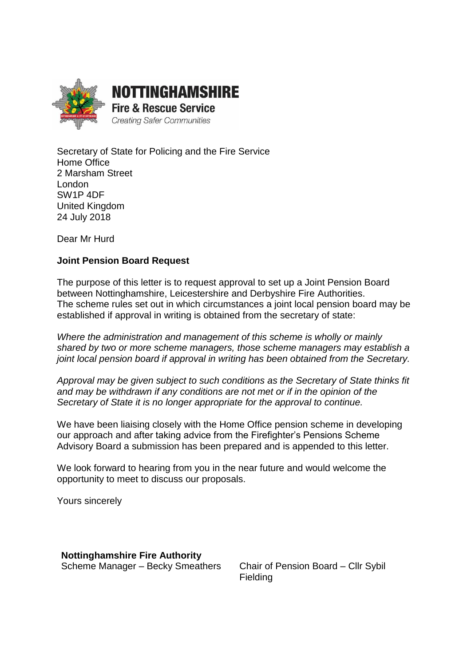

Secretary of State for Policing and the Fire Service Home Office 2 Marsham Street London SW1P 4DF United Kingdom 24 July 2018

Dear Mr Hurd

#### **Joint Pension Board Request**

The purpose of this letter is to request approval to set up a Joint Pension Board between Nottinghamshire, Leicestershire and Derbyshire Fire Authorities. The scheme rules set out in which circumstances a joint local pension board may be established if approval in writing is obtained from the secretary of state:

*Where the administration and management of this scheme is wholly or mainly shared by two or more scheme managers, those scheme managers may establish a joint local pension board if approval in writing has been obtained from the Secretary.*

*Approval may be given subject to such conditions as the Secretary of State thinks fit and may be withdrawn if any conditions are not met or if in the opinion of the Secretary of State it is no longer appropriate for the approval to continue.*

We have been liaising closely with the Home Office pension scheme in developing our approach and after taking advice from the Firefighter's Pensions Scheme Advisory Board a submission has been prepared and is appended to this letter.

We look forward to hearing from you in the near future and would welcome the opportunity to meet to discuss our proposals.

Yours sincerely

**Nottinghamshire Fire Authority** Scheme Manager – Becky Smeathers Chair of Pension Board – Cllr Sybil

Fielding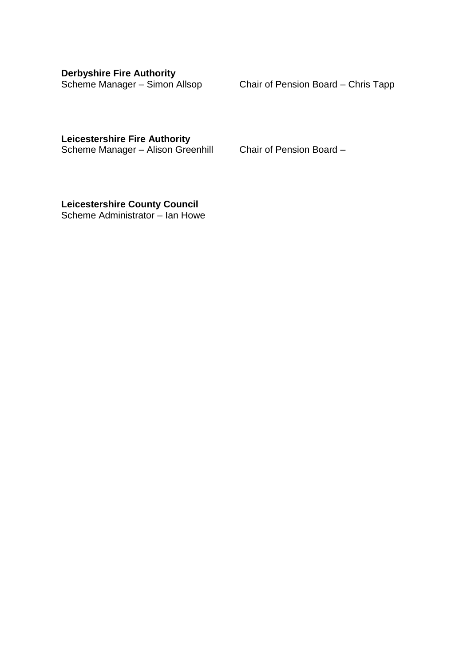**Derbyshire Fire Authority**

Scheme Manager – Simon Allsop Chair of Pension Board – Chris Tapp

**Leicestershire Fire Authority**

Scheme Manager – Alison Greenhill Chair of Pension Board –

**Leicestershire County Council** Scheme Administrator – Ian Howe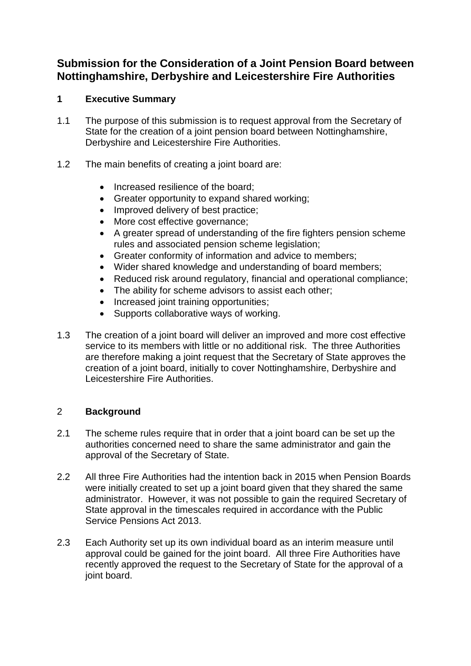# **Submission for the Consideration of a Joint Pension Board between Nottinghamshire, Derbyshire and Leicestershire Fire Authorities**

## **1 Executive Summary**

- 1.1 The purpose of this submission is to request approval from the Secretary of State for the creation of a joint pension board between Nottinghamshire, Derbyshire and Leicestershire Fire Authorities.
- 1.2 The main benefits of creating a joint board are:
	- Increased resilience of the board:
	- Greater opportunity to expand shared working;
	- Improved delivery of best practice;
	- More cost effective governance;
	- A greater spread of understanding of the fire fighters pension scheme rules and associated pension scheme legislation;
	- Greater conformity of information and advice to members;
	- Wider shared knowledge and understanding of board members;
	- Reduced risk around regulatory, financial and operational compliance;
	- The ability for scheme advisors to assist each other:
	- Increased joint training opportunities:
	- Supports collaborative ways of working.
- 1.3 The creation of a joint board will deliver an improved and more cost effective service to its members with little or no additional risk. The three Authorities are therefore making a joint request that the Secretary of State approves the creation of a joint board, initially to cover Nottinghamshire, Derbyshire and Leicestershire Fire Authorities.

#### 2 **Background**

- 2.1 The scheme rules require that in order that a joint board can be set up the authorities concerned need to share the same administrator and gain the approval of the Secretary of State.
- 2.2 All three Fire Authorities had the intention back in 2015 when Pension Boards were initially created to set up a joint board given that they shared the same administrator. However, it was not possible to gain the required Secretary of State approval in the timescales required in accordance with the Public Service Pensions Act 2013.
- 2.3 Each Authority set up its own individual board as an interim measure until approval could be gained for the joint board. All three Fire Authorities have recently approved the request to the Secretary of State for the approval of a joint board.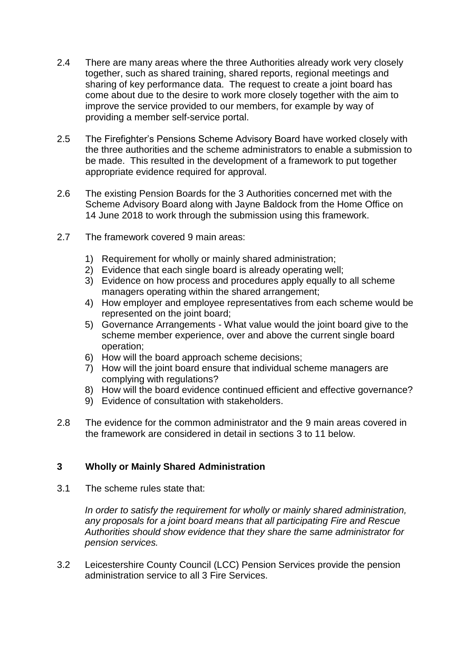- 2.4 There are many areas where the three Authorities already work very closely together, such as shared training, shared reports, regional meetings and sharing of key performance data. The request to create a joint board has come about due to the desire to work more closely together with the aim to improve the service provided to our members, for example by way of providing a member self-service portal.
- 2.5 The Firefighter's Pensions Scheme Advisory Board have worked closely with the three authorities and the scheme administrators to enable a submission to be made. This resulted in the development of a framework to put together appropriate evidence required for approval.
- 2.6 The existing Pension Boards for the 3 Authorities concerned met with the Scheme Advisory Board along with Jayne Baldock from the Home Office on 14 June 2018 to work through the submission using this framework.
- 2.7 The framework covered 9 main areas:
	- 1) Requirement for wholly or mainly shared administration;
	- 2) Evidence that each single board is already operating well;
	- 3) Evidence on how process and procedures apply equally to all scheme managers operating within the shared arrangement;
	- 4) How employer and employee representatives from each scheme would be represented on the joint board;
	- 5) Governance Arrangements What value would the joint board give to the scheme member experience, over and above the current single board operation;
	- 6) How will the board approach scheme decisions;
	- 7) How will the joint board ensure that individual scheme managers are complying with regulations?
	- 8) How will the board evidence continued efficient and effective governance?
	- 9) Evidence of consultation with stakeholders.
- 2.8 The evidence for the common administrator and the 9 main areas covered in the framework are considered in detail in sections 3 to 11 below.

# **3 Wholly or Mainly Shared Administration**

3.1 The scheme rules state that:

*In order to satisfy the requirement for wholly or mainly shared administration, any proposals for a joint board means that all participating Fire and Rescue Authorities should show evidence that they share the same administrator for pension services.*

3.2 Leicestershire County Council (LCC) Pension Services provide the pension administration service to all 3 Fire Services.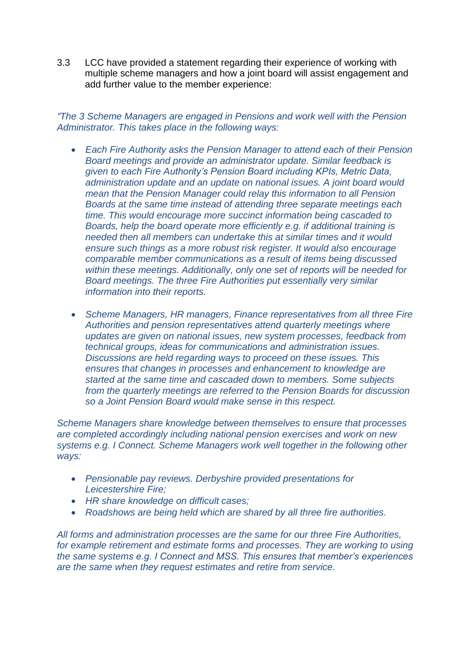3.3 LCC have provided a statement regarding their experience of working with multiple scheme managers and how a joint board will assist engagement and add further value to the member experience:

*"The 3 Scheme Managers are engaged in Pensions and work well with the Pension Administrator. This takes place in the following ways:*

- *Each Fire Authority asks the Pension Manager to attend each of their Pension Board meetings and provide an administrator update. Similar feedback is given to each Fire Authority's Pension Board including KPIs, Metric Data, administration update and an update on national issues. A joint board would mean that the Pension Manager could relay this information to all Pension Boards at the same time instead of attending three separate meetings each time. This would encourage more succinct information being cascaded to Boards, help the board operate more efficiently e.g. if additional training is needed then all members can undertake this at similar times and it would ensure such things as a more robust risk register. It would also encourage comparable member communications as a result of items being discussed within these meetings. Additionally, only one set of reports will be needed for Board meetings. The three Fire Authorities put essentially very similar information into their reports.*
- *Scheme Managers, HR managers, Finance representatives from all three Fire Authorities and pension representatives attend quarterly meetings where updates are given on national issues, new system processes, feedback from technical groups, ideas for communications and administration issues. Discussions are held regarding ways to proceed on these issues. This ensures that changes in processes and enhancement to knowledge are started at the same time and cascaded down to members. Some subjects from the quarterly meetings are referred to the Pension Boards for discussion so a Joint Pension Board would make sense in this respect.*

*Scheme Managers share knowledge between themselves to ensure that processes are completed accordingly including national pension exercises and work on new systems e.g. I Connect. Scheme Managers work well together in the following other ways:*

- *Pensionable pay reviews. Derbyshire provided presentations for Leicestershire Fire;*
- *HR share knowledge on difficult cases;*
- *Roadshows are being held which are shared by all three fire authorities.*

*All forms and administration processes are the same for our three Fire Authorities, for example retirement and estimate forms and processes. They are working to using the same systems e.g. I Connect and MSS. This ensures that member's experiences are the same when they request estimates and retire from service.*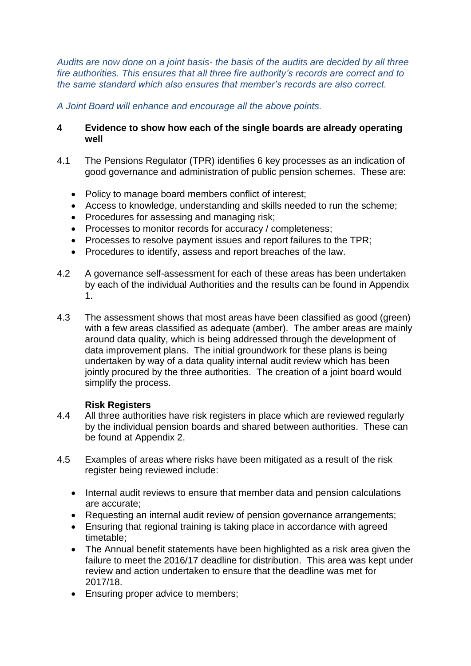*Audits are now done on a joint basis- the basis of the audits are decided by all three fire authorities. This ensures that all three fire authority's records are correct and to the same standard which also ensures that member's records are also correct.*

*A Joint Board will enhance and encourage all the above points.*

### **4 Evidence to show how each of the single boards are already operating well**

- 4.1 The Pensions Regulator (TPR) identifies 6 key processes as an indication of good governance and administration of public pension schemes. These are:
	- Policy to manage board members conflict of interest;
	- Access to knowledge, understanding and skills needed to run the scheme;
	- Procedures for assessing and managing risk;
	- Processes to monitor records for accuracy / completeness;
	- Processes to resolve payment issues and report failures to the TPR;
	- Procedures to identify, assess and report breaches of the law.
- 4.2 A governance self-assessment for each of these areas has been undertaken by each of the individual Authorities and the results can be found in Appendix 1.
- 4.3 The assessment shows that most areas have been classified as good (green) with a few areas classified as adequate (amber). The amber areas are mainly around data quality, which is being addressed through the development of data improvement plans. The initial groundwork for these plans is being undertaken by way of a data quality internal audit review which has been jointly procured by the three authorities. The creation of a joint board would simplify the process.

# **Risk Registers**

- 4.4 All three authorities have risk registers in place which are reviewed regularly by the individual pension boards and shared between authorities. These can be found at Appendix 2.
- 4.5 Examples of areas where risks have been mitigated as a result of the risk register being reviewed include:
	- Internal audit reviews to ensure that member data and pension calculations are accurate;
	- Requesting an internal audit review of pension governance arrangements;
	- Ensuring that regional training is taking place in accordance with agreed timetable;
	- The Annual benefit statements have been highlighted as a risk area given the failure to meet the 2016/17 deadline for distribution. This area was kept under review and action undertaken to ensure that the deadline was met for 2017/18.
	- Ensuring proper advice to members: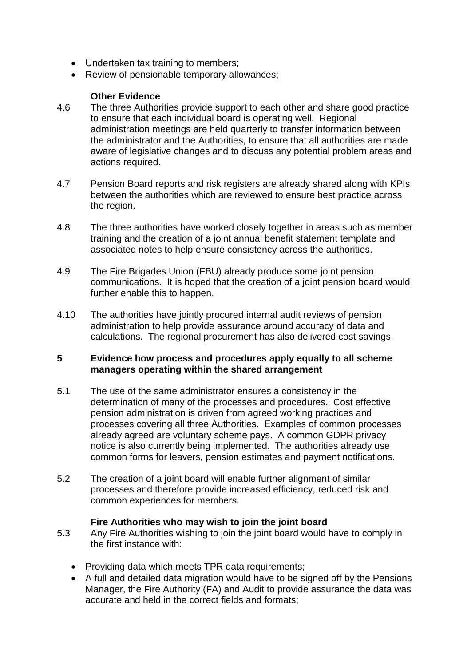- Undertaken tax training to members;
- Review of pensionable temporary allowances;

### **Other Evidence**

- 4.6 The three Authorities provide support to each other and share good practice to ensure that each individual board is operating well. Regional administration meetings are held quarterly to transfer information between the administrator and the Authorities, to ensure that all authorities are made aware of legislative changes and to discuss any potential problem areas and actions required.
- 4.7 Pension Board reports and risk registers are already shared along with KPIs between the authorities which are reviewed to ensure best practice across the region.
- 4.8 The three authorities have worked closely together in areas such as member training and the creation of a joint annual benefit statement template and associated notes to help ensure consistency across the authorities.
- 4.9 The Fire Brigades Union (FBU) already produce some joint pension communications. It is hoped that the creation of a joint pension board would further enable this to happen.
- 4.10 The authorities have jointly procured internal audit reviews of pension administration to help provide assurance around accuracy of data and calculations. The regional procurement has also delivered cost savings.

#### **5 Evidence how process and procedures apply equally to all scheme managers operating within the shared arrangement**

- 5.1 The use of the same administrator ensures a consistency in the determination of many of the processes and procedures. Cost effective pension administration is driven from agreed working practices and processes covering all three Authorities. Examples of common processes already agreed are voluntary scheme pays. A common GDPR privacy notice is also currently being implemented. The authorities already use common forms for leavers, pension estimates and payment notifications.
- 5.2 The creation of a joint board will enable further alignment of similar processes and therefore provide increased efficiency, reduced risk and common experiences for members.

#### **Fire Authorities who may wish to join the joint board**

- 5.3 Any Fire Authorities wishing to join the joint board would have to comply in the first instance with:
	- Providing data which meets TPR data requirements;
	- A full and detailed data migration would have to be signed off by the Pensions Manager, the Fire Authority (FA) and Audit to provide assurance the data was accurate and held in the correct fields and formats;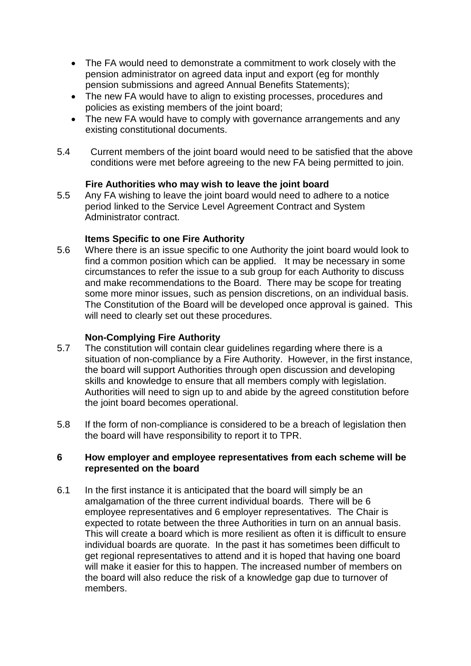- The FA would need to demonstrate a commitment to work closely with the pension administrator on agreed data input and export (eg for monthly pension submissions and agreed Annual Benefits Statements);
- The new FA would have to align to existing processes, procedures and policies as existing members of the joint board;
- The new FA would have to comply with governance arrangements and any existing constitutional documents.
- 5.4 Current members of the joint board would need to be satisfied that the above conditions were met before agreeing to the new FA being permitted to join.

## **Fire Authorities who may wish to leave the joint board**

5.5 Any FA wishing to leave the joint board would need to adhere to a notice period linked to the Service Level Agreement Contract and System Administrator contract.

## **Items Specific to one Fire Authority**

5.6 Where there is an issue specific to one Authority the joint board would look to find a common position which can be applied. It may be necessary in some circumstances to refer the issue to a sub group for each Authority to discuss and make recommendations to the Board. There may be scope for treating some more minor issues, such as pension discretions, on an individual basis. The Constitution of the Board will be developed once approval is gained. This will need to clearly set out these procedures.

#### **Non-Complying Fire Authority**

- 5.7 The constitution will contain clear guidelines regarding where there is a situation of non-compliance by a Fire Authority. However, in the first instance, the board will support Authorities through open discussion and developing skills and knowledge to ensure that all members comply with legislation. Authorities will need to sign up to and abide by the agreed constitution before the joint board becomes operational.
- 5.8 If the form of non-compliance is considered to be a breach of legislation then the board will have responsibility to report it to TPR.

#### **6 How employer and employee representatives from each scheme will be represented on the board**

6.1 In the first instance it is anticipated that the board will simply be an amalgamation of the three current individual boards. There will be 6 employee representatives and 6 employer representatives. The Chair is expected to rotate between the three Authorities in turn on an annual basis. This will create a board which is more resilient as often it is difficult to ensure individual boards are quorate. In the past it has sometimes been difficult to get regional representatives to attend and it is hoped that having one board will make it easier for this to happen. The increased number of members on the board will also reduce the risk of a knowledge gap due to turnover of members.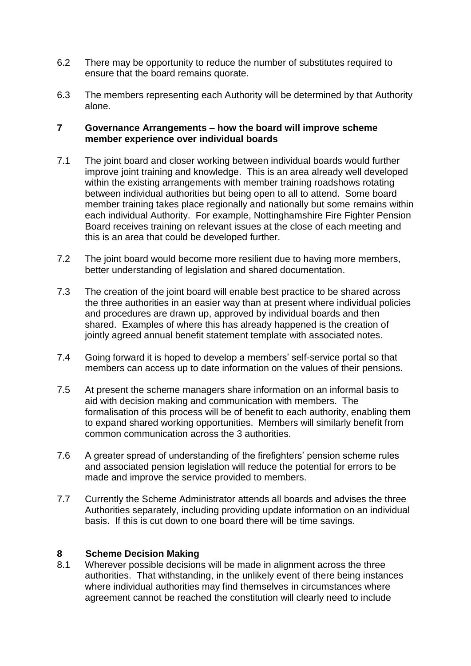- 6.2 There may be opportunity to reduce the number of substitutes required to ensure that the board remains quorate.
- 6.3 The members representing each Authority will be determined by that Authority alone.

#### **7 Governance Arrangements – how the board will improve scheme member experience over individual boards**

- 7.1 The joint board and closer working between individual boards would further improve joint training and knowledge. This is an area already well developed within the existing arrangements with member training roadshows rotating between individual authorities but being open to all to attend. Some board member training takes place regionally and nationally but some remains within each individual Authority. For example, Nottinghamshire Fire Fighter Pension Board receives training on relevant issues at the close of each meeting and this is an area that could be developed further.
- 7.2 The joint board would become more resilient due to having more members, better understanding of legislation and shared documentation.
- 7.3 The creation of the joint board will enable best practice to be shared across the three authorities in an easier way than at present where individual policies and procedures are drawn up, approved by individual boards and then shared. Examples of where this has already happened is the creation of jointly agreed annual benefit statement template with associated notes.
- 7.4 Going forward it is hoped to develop a members' self-service portal so that members can access up to date information on the values of their pensions.
- 7.5 At present the scheme managers share information on an informal basis to aid with decision making and communication with members. The formalisation of this process will be of benefit to each authority, enabling them to expand shared working opportunities. Members will similarly benefit from common communication across the 3 authorities.
- 7.6 A greater spread of understanding of the firefighters' pension scheme rules and associated pension legislation will reduce the potential for errors to be made and improve the service provided to members.
- 7.7 Currently the Scheme Administrator attends all boards and advises the three Authorities separately, including providing update information on an individual basis. If this is cut down to one board there will be time savings.

#### **8 Scheme Decision Making**

8.1 Wherever possible decisions will be made in alignment across the three authorities. That withstanding, in the unlikely event of there being instances where individual authorities may find themselves in circumstances where agreement cannot be reached the constitution will clearly need to include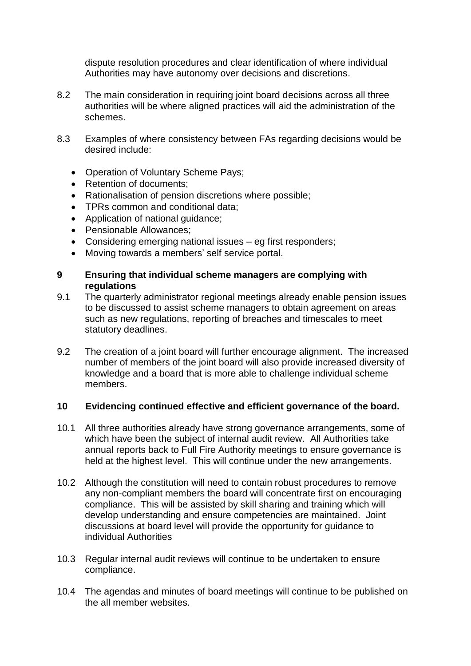dispute resolution procedures and clear identification of where individual Authorities may have autonomy over decisions and discretions.

- 8.2 The main consideration in requiring joint board decisions across all three authorities will be where aligned practices will aid the administration of the schemes.
- 8.3 Examples of where consistency between FAs regarding decisions would be desired include:
	- Operation of Voluntary Scheme Pays;
	- Retention of documents;
	- Rationalisation of pension discretions where possible;
	- TPRs common and conditional data;
	- Application of national guidance;
	- Pensionable Allowances;
	- Considering emerging national issues eg first responders;
	- Moving towards a members' self service portal.

#### **9 Ensuring that individual scheme managers are complying with regulations**

- 9.1 The quarterly administrator regional meetings already enable pension issues to be discussed to assist scheme managers to obtain agreement on areas such as new regulations, reporting of breaches and timescales to meet statutory deadlines.
- 9.2 The creation of a joint board will further encourage alignment. The increased number of members of the joint board will also provide increased diversity of knowledge and a board that is more able to challenge individual scheme members.

#### **10 Evidencing continued effective and efficient governance of the board.**

- 10.1 All three authorities already have strong governance arrangements, some of which have been the subject of internal audit review. All Authorities take annual reports back to Full Fire Authority meetings to ensure governance is held at the highest level. This will continue under the new arrangements.
- 10.2 Although the constitution will need to contain robust procedures to remove any non-compliant members the board will concentrate first on encouraging compliance. This will be assisted by skill sharing and training which will develop understanding and ensure competencies are maintained. Joint discussions at board level will provide the opportunity for guidance to individual Authorities
- 10.3 Regular internal audit reviews will continue to be undertaken to ensure compliance.
- 10.4 The agendas and minutes of board meetings will continue to be published on the all member websites.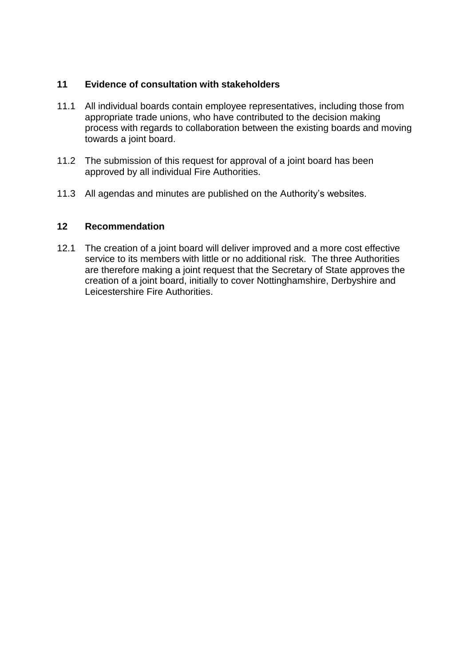#### **11 Evidence of consultation with stakeholders**

- 11.1 All individual boards contain employee representatives, including those from appropriate trade unions, who have contributed to the decision making process with regards to collaboration between the existing boards and moving towards a joint board.
- 11.2 The submission of this request for approval of a joint board has been approved by all individual Fire Authorities.
- 11.3 All agendas and minutes are published on the Authority's websites.

## **12 Recommendation**

12.1 The creation of a joint board will deliver improved and a more cost effective service to its members with little or no additional risk. The three Authorities are therefore making a joint request that the Secretary of State approves the creation of a joint board, initially to cover Nottinghamshire, Derbyshire and Leicestershire Fire Authorities.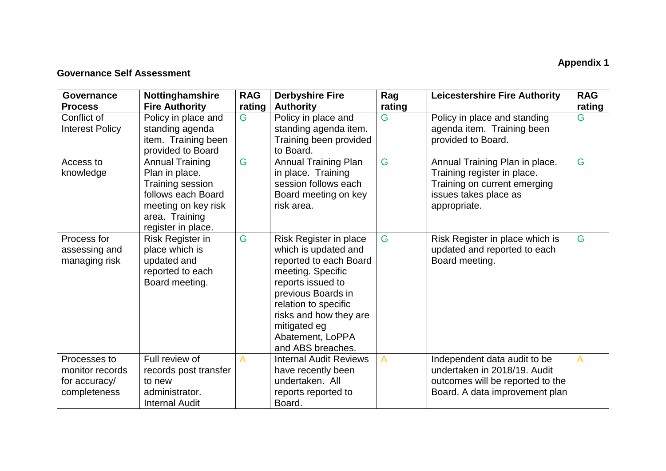# **Appendix 1**

# **Governance Self Assessment**

| Governance<br><b>Process</b>                                     | Nottinghamshire<br><b>Fire Authority</b>                                                                                                          | <b>RAG</b><br>rating | <b>Derbyshire Fire</b><br><b>Authority</b>                                                                                                                                                                                                          | Rag<br>rating | <b>Leicestershire Fire Authority</b>                                                                                                   | <b>RAG</b><br>rating |
|------------------------------------------------------------------|---------------------------------------------------------------------------------------------------------------------------------------------------|----------------------|-----------------------------------------------------------------------------------------------------------------------------------------------------------------------------------------------------------------------------------------------------|---------------|----------------------------------------------------------------------------------------------------------------------------------------|----------------------|
| Conflict of<br><b>Interest Policy</b>                            | Policy in place and<br>standing agenda<br>item. Training been<br>provided to Board                                                                | G                    | Policy in place and<br>standing agenda item.<br>Training been provided<br>to Board.                                                                                                                                                                 | G             | Policy in place and standing<br>agenda item. Training been<br>provided to Board.                                                       | G                    |
| Access to<br>knowledge                                           | <b>Annual Training</b><br>Plan in place.<br>Training session<br>follows each Board<br>meeting on key risk<br>area. Training<br>register in place. | G                    | <b>Annual Training Plan</b><br>in place. Training<br>session follows each<br>Board meeting on key<br>risk area.                                                                                                                                     | G             | Annual Training Plan in place.<br>Training register in place.<br>Training on current emerging<br>issues takes place as<br>appropriate. | G                    |
| Process for<br>assessing and<br>managing risk                    | Risk Register in<br>place which is<br>updated and<br>reported to each<br>Board meeting.                                                           | G                    | Risk Register in place<br>which is updated and<br>reported to each Board<br>meeting. Specific<br>reports issued to<br>previous Boards in<br>relation to specific<br>risks and how they are<br>mitigated eg<br>Abatement, LoPPA<br>and ABS breaches. | G             | Risk Register in place which is<br>updated and reported to each<br>Board meeting.                                                      | G                    |
| Processes to<br>monitor records<br>for accuracy/<br>completeness | Full review of<br>records post transfer<br>to new<br>administrator.<br><b>Internal Audit</b>                                                      | A                    | <b>Internal Audit Reviews</b><br>have recently been<br>undertaken. All<br>reports reported to<br>Board.                                                                                                                                             | A             | Independent data audit to be<br>undertaken in 2018/19. Audit<br>outcomes will be reported to the<br>Board. A data improvement plan     | A                    |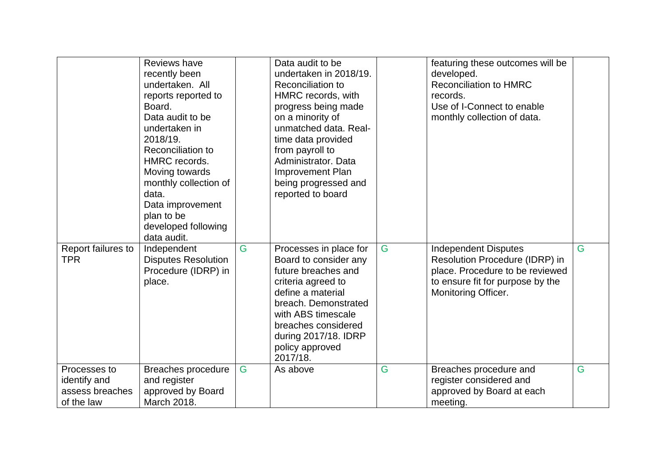|                                                               | Reviews have<br>recently been<br>undertaken. All<br>reports reported to<br>Board.<br>Data audit to be<br>undertaken in<br>2018/19.<br>Reconciliation to<br>HMRC records.<br>Moving towards<br>monthly collection of<br>data.<br>Data improvement<br>plan to be<br>developed following<br>data audit. |   | Data audit to be<br>undertaken in 2018/19.<br>Reconciliation to<br>HMRC records, with<br>progress being made<br>on a minority of<br>unmatched data. Real-<br>time data provided<br>from payroll to<br>Administrator. Data<br><b>Improvement Plan</b><br>being progressed and<br>reported to board |   | featuring these outcomes will be<br>developed.<br><b>Reconciliation to HMRC</b><br>records.<br>Use of I-Connect to enable<br>monthly collection of data.    |   |
|---------------------------------------------------------------|------------------------------------------------------------------------------------------------------------------------------------------------------------------------------------------------------------------------------------------------------------------------------------------------------|---|---------------------------------------------------------------------------------------------------------------------------------------------------------------------------------------------------------------------------------------------------------------------------------------------------|---|-------------------------------------------------------------------------------------------------------------------------------------------------------------|---|
| Report failures to<br><b>TPR</b>                              | Independent<br><b>Disputes Resolution</b><br>Procedure (IDRP) in<br>place.                                                                                                                                                                                                                           | G | Processes in place for<br>Board to consider any<br>future breaches and<br>criteria agreed to<br>define a material<br>breach. Demonstrated<br>with ABS timescale<br>breaches considered<br>during 2017/18. IDRP<br>policy approved<br>2017/18.                                                     | G | <b>Independent Disputes</b><br>Resolution Procedure (IDRP) in<br>place. Procedure to be reviewed<br>to ensure fit for purpose by the<br>Monitoring Officer. | G |
| Processes to<br>identify and<br>assess breaches<br>of the law | Breaches procedure<br>and register<br>approved by Board<br>March 2018.                                                                                                                                                                                                                               | G | As above                                                                                                                                                                                                                                                                                          | G | Breaches procedure and<br>register considered and<br>approved by Board at each<br>meeting.                                                                  | G |